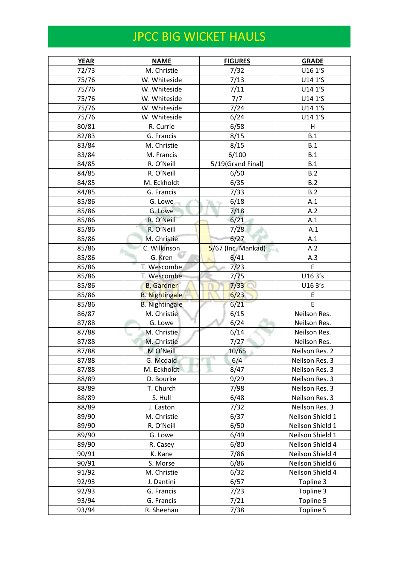## JPCC BIG WICKET HAULS

| <b>YEAR</b> | <b>NAME</b>           | <b>FIGURES</b>     | <b>GRADE</b>     |
|-------------|-----------------------|--------------------|------------------|
| 72/73       | M. Christie           | 7/32               | U16 1'S          |
| 75/76       | W. Whiteside          | 7/13               | U14 1'S          |
| 75/76       | W. Whiteside          | 7/11               | U14 1'S          |
| 75/76       | W. Whiteside          | 7/7                | U14 1'S          |
| 75/76       | W. Whiteside          | 7/24               | U14 1'S          |
| 75/76       | W. Whiteside          | 6/24               | U14 1'S          |
| 80/81       | R. Currie             | 6/58               | H                |
| 82/83       | G. Francis            | 8/15               | B.1              |
| 83/84       | M. Christie           | 8/15               | B.1              |
| 83/84       | M. Francis            | 6/100              | B.1              |
| 84/85       | R. O'Neill            | 5/19(Grand Final)  | B.1              |
| 84/85       | R. O'Neill            | 6/50               | B.2              |
| 84/85       | M. Eckholdt           | 6/35               | B.2              |
| 84/85       | G. Francis            | 7/33               | B.2              |
| 85/86       | G. Lowe               | 6/18               | A.1              |
| 85/86       | G. Lowe               | 7/18               | A.2              |
| 85/86       | R. O'Neill            | 6/21               | A.1              |
| 85/86       | R. O'Neill            | 7/28               | A.1              |
| 85/86       | M. Christie           | 6/27               | A.1              |
| 85/86       | C. Wilkinson          | 5/67 (Inc. Mankad) | A.2              |
| 85/86       | G. Kren               | 6/41               | A.3              |
| 85/86       | T. Wescombe           | 7/23               | E                |
| 85/86       | T. Wescombe           | 7/75               | U163's           |
| 85/86       | <b>B.</b> Gardner     | 7/33               | U163's           |
| 85/86       | <b>B.</b> Nightingale | 6/23               | E                |
| 85/86       | <b>B. Nightingale</b> | 6/21               | E                |
| 86/87       | M. Christie           | 6/15               | Neilson Res.     |
| 87/88       | G. Lowe               | 6/24               | Neilson Res.     |
| 87/88       | M. Christie           | 6/14               | Neilson Res.     |
| 87/88       | M. Christie           | 7/27               | Neilson Res.     |
| 87/88       | M O'Neill             | 10/65              | Neilson Res. 2   |
| 87/88       | G. Mcdaid             | 6/4                | Neilson Res. 3   |
| 87/88       | M. Eckholdt           | 8/47               | Neilson Res. 3   |
| 88/89       | D. Bourke             | 9/29               | Neilson Res. 3   |
| 88/89       | T. Church             | 7/98               | Neilson Res. 3   |
| 88/89       | S. Hull               | 6/48               | Neilson Res. 3   |
| 88/89       | J. Easton             | 7/32               | Neilson Res. 3   |
| 89/90       | M. Christie           | 6/37               | Neilson Shield 1 |
| 89/90       | R. O'Neill            | 6/50               | Neilson Shield 1 |
| 89/90       | G. Lowe               | 6/49               | Neilson Shield 1 |
| 89/90       | R. Casey              | 6/80               | Neilson Shield 4 |
| 90/91       | K. Kane               | 7/86               | Neilson Shield 4 |
| 90/91       | S. Morse              | 6/86               | Neilson Shield 6 |
| 91/92       | M. Christie           | 6/32               | Neilson Shield 4 |
| 92/93       | J. Dantini            | 6/57               | Topline 3        |
| 92/93       | G. Francis            | 7/23               | Topline 3        |
| 93/94       | G. Francis            | 7/21               | Topline 5        |
| 93/94       | R. Sheehan            | 7/38               | Topline 5        |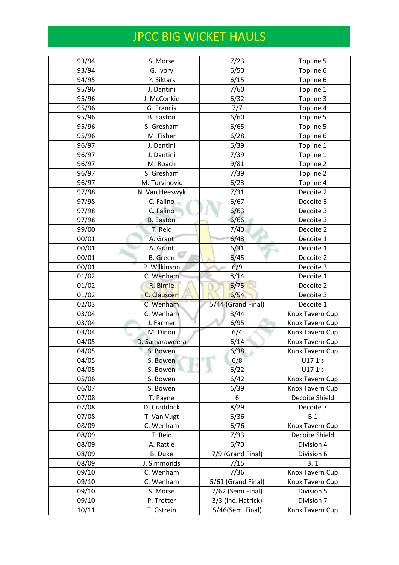## JPCC BIG WICKET HAULS

| 93/94 | S. Morse         | 7/23               | Topline 5       |
|-------|------------------|--------------------|-----------------|
| 93/94 | G. Ivory         | 6/50               | Topline 6       |
| 94/95 | P. Siktars       | 6/15               | Topline 6       |
| 95/96 | J. Dantini       | 7/60               | Topline 1       |
| 95/96 | J. McConkie      | 6/32               | Topline 3       |
| 95/96 | G. Francis       | 7/7                | Topline 4       |
| 95/96 | <b>B.</b> Easton | 6/60               | Topline 5       |
| 95/96 | S. Gresham       | 6/65               | Topline 5       |
| 95/96 | M. Fisher        | 6/28               | Topline 6       |
| 96/97 | J. Dantini       | 6/39               | Topline 1       |
| 96/97 | J. Dantini       | 7/39               | Topline 1       |
| 96/97 | M. Roach         | 9/81               | Topline 2       |
| 96/97 | S. Gresham       | 7/39               | Topline 2       |
| 96/97 | M. Turvinovic    | 6/23               | Topline 4       |
| 97/98 | N. Van Heeswyk   | 7/31               | Decoite 2       |
| 97/98 | C. Falino        | 6/67               | Decoite 3       |
| 97/98 | C. Falino        | 6/63               | Decoite 3       |
| 97/98 | <b>B.</b> Easton | 6/66               | Decoite 3       |
| 99/00 | T. Reid          | 7/40               | Decoite 2       |
| 00/01 | A. Grant         | 6/43               | Decoite 1       |
| 00/01 | A. Grant         | 6/31               | Decoite 1       |
| 00/01 | <b>B.</b> Green  | 6/45               | Decoite 2       |
| 00/01 | P. Wilkinson     | 6/9                | Decoite 3       |
| 01/02 | C. Wenham        | 8/14               | Decoite 1       |
| 01/02 | R. Birnie        | 6/75               | Decoite 2       |
| 01/02 | C. Clauscen      | 6/54               | Decoite 3       |
| 02/03 | C. Wenham        | 5/44 (Grand Final) | Decoite 1       |
| 03/04 | C. Wenham        | 8/44               | Knox Tavern Cup |
| 03/04 | J. Farmer        | 6/95               | Knox Tavern Cup |
| 03/04 | M. Dinon         | 6/4                | Knox Tavern Cup |
| 04/05 | D. Samaraweera   | 6/14               | Knox Tavern Cup |
| 04/05 | S. Bowen         | 6/38               | Knox Tavern Cup |
| 04/05 | S. Bowen         | 6/8                | U17 1's         |
| 04/05 | S. Bowen         | 6/22               | U17 1's         |
| 05/06 | S. Bowen         | 6/42               | Knox Tavern Cup |
| 06/07 | S. Bowen         | 6/39               | Knox Tavern Cup |
| 07/08 | T. Payne         | 6                  | Decoite Shield  |
| 07/08 | D. Craddock      | 8/29               | Decoite 7       |
| 07/08 | T. Van Vugt      | 6/36               | B.1             |
| 08/09 | C. Wenham        | 6/76               | Knox Tavern Cup |
| 08/09 | T. Reid          | 7/33               | Decoite Shield  |
| 08/09 | A. Rattle        | 6/70               | Division 4      |
| 08/09 | <b>B.</b> Duke   | 7/9 (Grand Final)  | Division 6      |
| 08/09 | J. Simmonds      | 7/15               | <b>B.1</b>      |
| 09/10 | C. Wenham        | 7/36               | Knox Tavern Cup |
| 09/10 | C. Wenham        | 5/61 (Grand Final) | Knox Tavern Cup |
| 09/10 | S. Morse         | 7/62 (Semi Final)  | Division 5      |
| 09/10 | P. Trotter       | 3/3 (inc. Hatrick) | Division 7      |
| 10/11 | T. Gstrein       | 5/46(Semi Final)   | Knox Tavern Cup |